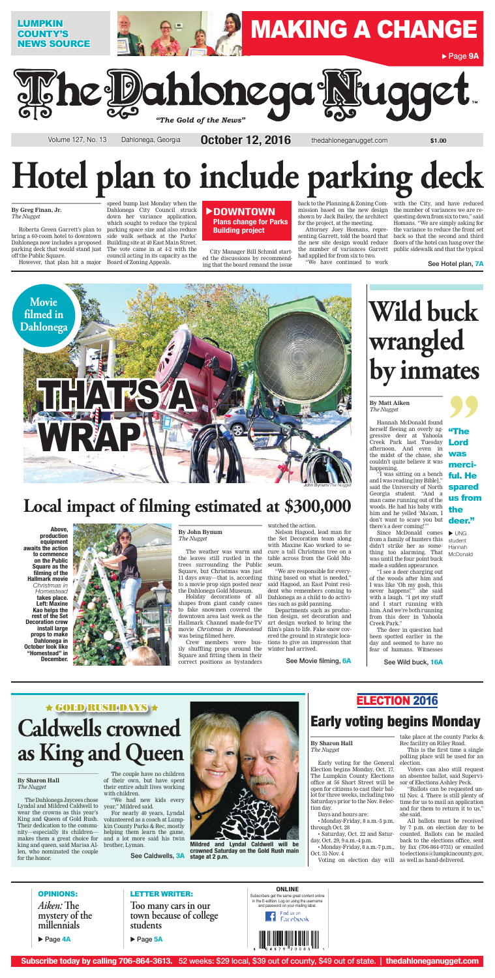#### **By Greg Finan, Jr.** *The Nugget*

Roberta Green Garrett's plan to bring a 60-room hotel to downtown off the Public Square.

Dahlonega now includes a proposed Building site at 40 East Main Street. parking deck that would stand just The vote came in at 4-2 with the speed bump last Monday when the Dahlonega City Council struck down her variance application, which sought to reduce the typical parking space size and also reduce side walk setback at the Parks' council acting in its capacity as the

However, that plan hit a major Board of Zoning Appeals.

#### **DOWNTOWN Plans change for Parks Building project**

City Manager Bill Schmid started the discussions by recommending that the board remand the issue

back to the Planning & Zoning Com-with the City, and have reduced mission based on the new design the number of variances we are reshown by Jack Bailey, the architect for the project, at the meeting.

Attorney Joey Homans, representing Garrett, told the board that had applied for from six to two.

> Since McDonald comes from a family of hunters this didn't strike her as something too alarming. That was until the four point buck made a sudden appearance. "I see a deer charging out of the woods after him and I was like 'Oh my gosh, this never happens!" she said with a laugh. "I get my stuff and I start running with him. And we're both running from this deer in Yahoola Creek Park." The deer in question had been spotted earlier in the day and seemed to have no fear of humans. Witnesses  $\blacktriangleright$  UNG student Hannah **McDonald**

"We have continued to work

the new site design would reduce floors of the hotel can hang over the the number of variances Garrett public sidewalk and that the typical questing down from six to two," said Homans. "We are simply asking for the variance to reduce the front set back so that the second and third

See Hotel plan, **7A**

# **Hotel plan to include parking deck**

**99**<br>
"The<br>
Lord<br>
was<br>
more! "The Lord was merciful. He spared us from the deer."

## **Wild buck wrangled by inmates**

**By Matt Aiken** *The Nugget*

Hannah McDonald found herself fleeing an overly aggressive deer at Yahoola Creek Park last Tuesday afternoon. And even in the midst of the chase, she couldn't quite believe it was happening.

"I was sitting on a bench and I was reading [my Bible]," said the University of North Georgia student. "And a man came running out of the woods. He had his baby with him and he yelled 'Ma'am, I don't want to scare you but there's a deer coming!'"



**Too many cars in our town because of college students**

**Page 5A** 

### OPINIONS: *Aiken:* **The mystery of the millennials**

▶ Page 4A

#### **CONLINE**<br> **CONLINE** CONLINE

See Wild buck, **16A**

**By John Bynum** *The Nugget*

the leaves still rustled in the table across from the Gold Mutrees surrounding the Public Square, but Christmas was just 11 days away—that is, according to a movie prop sign posted near the Dahlonega Gold Museum.



Holiday decorations of all shapes from giant candy canes to fake snowmen covered the downtown area last week as the Hallmark Channel made-for-TV movie *Christmas in Homestead* was being filmed here.

The weather was warm and cure a tall Christmas tree on a Nelson Hagood, lead man for the Set Decoration team along with Maxine Kao worked to se-

Crew members were busily shuffling props around the Square and fitting them in their correct positions as bystanders

watched the action.



seum.

"We are responsible for everything based on what is needed," said Hagood, an East Point resident who remembers coming to Dahlonega as a child to do activities such as gold panning.

Departments such as production design, set decoration and art design worked to bring the film's plan to life. Fake snow covered the ground in strategic locations to give an impression that winter had arrived.

### **Local impact of filming estimated at \$300,000**

**Above, production equipment awaits the action to commence** 



**on the Public Square as the filming of the Hallmark movie**  *Christmas in Homestead* **takes place. Left: Maxine Kao helps the rest of the Set Decoration crew install large props to make Dahlonega in October look like "Homestead" in December.**

See Movie filming, **6A**

#### **By Sharon Hall** *The Nugget*

The Dahlonega Jaycees chose Lyndal and Mildred Caldwell to year," Mildred said. wear the crowns as this year's King and Queen of Gold Rush. Their dedication to the community—especially its children makes them a great choice for and a lot more said his twin king and queen, said Marisa Al-brother, Lyman. len, who nominated the couple for the honor.

The couple have no children of their own, but have spent their entire adult lives working with children.

"We had new kids every

For nearly 40 years, Lyndal volunteered as a coach at Lumpkin County Parks & Rec, mostly helping them learn the game,

See Caldwells, **3A**

## **Caldwells crowned as King and Queen**

**Mildred and Lyndal Caldwell will be crowned Saturday on the Gold Rush main stage at 2 p.m.** 

### Early voting begins Monday

#### **By Sharon Hall** *The Nugget*

Early voting for the General Election begins Monday, Oct. 17. The Lumpkin County Elections office at 56 Short Street will be open for citizens to cast their ballot for three weeks, including two Saturdays prior to the Nov. 8 election day.

Days and hours are:

• Monday-Friday, 8 a.m.-5 p.m. through Oct. 28

• Saturday, Oct. 22 and Saturday, Oct. 29, 9 a.m.-4 p.m.

• Monday-Friday, 8 a.m.-7 p.m., Oct. 31-Nov. 4

take place at the county Parks & Rec facility on Riley Road.

This is the first time a single polling place will be used for an election.

Voters can also still request an absentee ballot, said Supervisor of Elections Ashley Peck.

Voting on election day will as well as hand-delivered.

"Ballots can be requested until Nov. 4. There is still plenty of time for us to mail an application and for them to return it to us," she said.

All ballots must be received by 7 p.m. on election day to be counted. Ballots can be mailed back to the elections office, sent by fax (706-864-0731) or emailed to [elections@lumpkincounty.gov,](mailto:elections@lumpkincounty.gov)